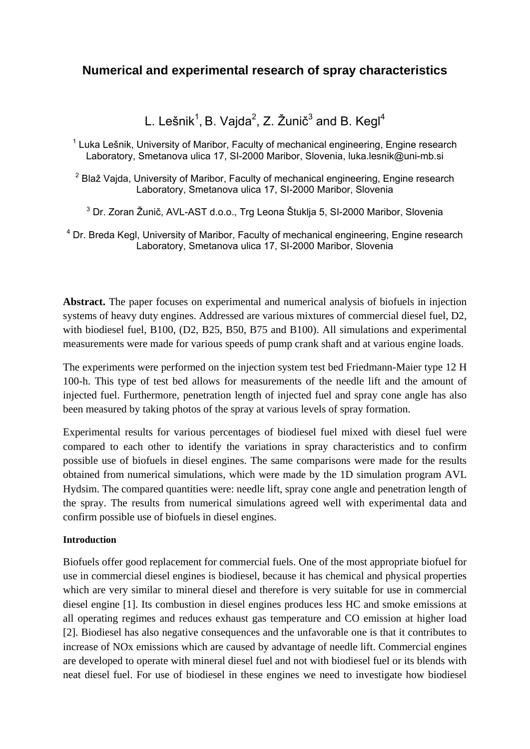# **Numerical and experimental research of spray characteristics**

L. Lešnik<sup>1</sup>, B. Vajda<sup>2</sup>, Z. Žunič<sup>3</sup> and B. Kegl<sup>4</sup>

<sup>1</sup> Luka Lešnik, University of Maribor, Faculty of mechanical engineering, Engine research Laboratory, Smetanova ulica 17, SI-2000 Maribor, Slovenia, luka.lesnik@uni-mb.si

 $2$  Blaž Vajda, University of Maribor, Faculty of mechanical engineering, Engine research Laboratory, Smetanova ulica 17, SI-2000 Maribor, Slovenia

<sup>3</sup> Dr. Zoran Žunič, AVL-AST d.o.o., Trg Leona Štuklja 5, SI-2000 Maribor, Slovenia

<sup>4</sup> Dr. Breda Kegl, University of Maribor, Faculty of mechanical engineering, Engine research Laboratory, Smetanova ulica 17, SI-2000 Maribor, Slovenia

**Abstract.** The paper focuses on experimental and numerical analysis of biofuels in injection systems of heavy duty engines. Addressed are various mixtures of commercial diesel fuel, D2, with biodiesel fuel, B100, (D2, B25, B50, B75 and B100). All simulations and experimental measurements were made for various speeds of pump crank shaft and at various engine loads.

The experiments were performed on the injection system test bed Friedmann-Maier type 12 H 100-h. This type of test bed allows for measurements of the needle lift and the amount of injected fuel. Furthermore, penetration length of injected fuel and spray cone angle has also been measured by taking photos of the spray at various levels of spray formation.

Experimental results for various percentages of biodiesel fuel mixed with diesel fuel were compared to each other to identify the variations in spray characteristics and to confirm possible use of biofuels in diesel engines. The same comparisons were made for the results obtained from numerical simulations, which were made by the 1D simulation program AVL Hydsim. The compared quantities were: needle lift, spray cone angle and penetration length of the spray. The results from numerical simulations agreed well with experimental data and confirm possible use of biofuels in diesel engines.

### **Introduction**

Biofuels offer good replacement for commercial fuels. One of the most appropriate biofuel for use in commercial diesel engines is biodiesel, because it has chemical and physical properties which are very similar to mineral diesel and therefore is very suitable for use in commercial diesel engine [1]. Its combustion in diesel engines produces less HC and smoke emissions at all operating regimes and reduces exhaust gas temperature and CO emission at higher load [2]. Biodiesel has also negative consequences and the unfavorable one is that it contributes to increase of NOx emissions which are caused by advantage of needle lift. Commercial engines are developed to operate with mineral diesel fuel and not with biodiesel fuel or its blends with neat diesel fuel. For use of biodiesel in these engines we need to investigate how biodiesel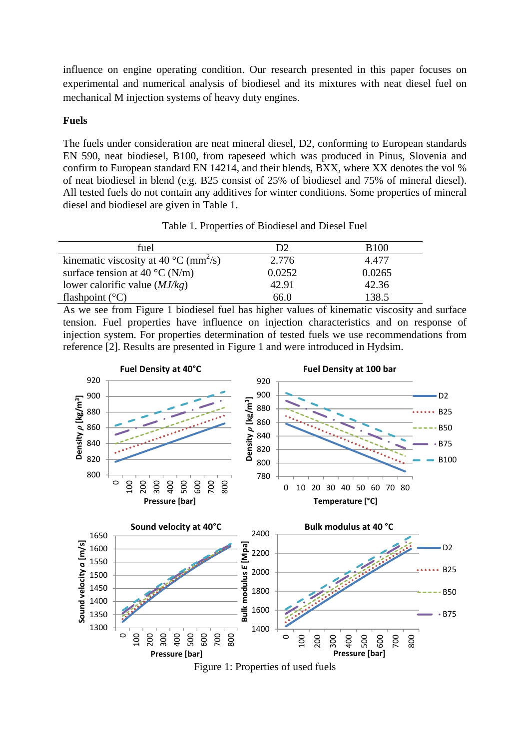influence on engine operating condition. Our research presented in this paper focuses on experimental and numerical analysis of biodiesel and its mixtures with neat diesel fuel on mechanical M injection systems of heavy duty engines.

### **Fuels**

The fuels under consideration are neat mineral diesel, D2, conforming to European standards EN 590, neat biodiesel, B100, from rapeseed which was produced in Pinus, Slovenia and confirm to European standard EN 14214, and their blends, BXX, where XX denotes the vol % of neat biodiesel in blend (e.g. B25 consist of 25% of biodiesel and 75% of mineral diesel). All tested fuels do not contain any additives for winter conditions. Some properties of mineral diesel and biodiesel are given in Table 1.

Table 1. Properties of Biodiesel and Diesel Fuel

| fuel                                                        | D2     | <b>B</b> 100 |
|-------------------------------------------------------------|--------|--------------|
| kinematic viscosity at 40 $^{\circ}$ C (mm <sup>2</sup> /s) | 2.776  | 4.477        |
| surface tension at 40 $^{\circ}$ C (N/m)                    | 0.0252 | 0.0265       |
| lower calorific value $(MJ/kg)$                             | 42.91  | 42.36        |
| flashpoint $(^{\circ}C)$                                    | 66.0   | 138.5        |

As we see from Figure 1 biodiesel fuel has higher values of kinematic viscosity and surface tension. Fuel properties have influence on injection characteristics and on response of injection system. For properties determination of tested fuels we use recommendations from reference [2]. Results are presented in Figure 1 and were introduced in Hydsim.

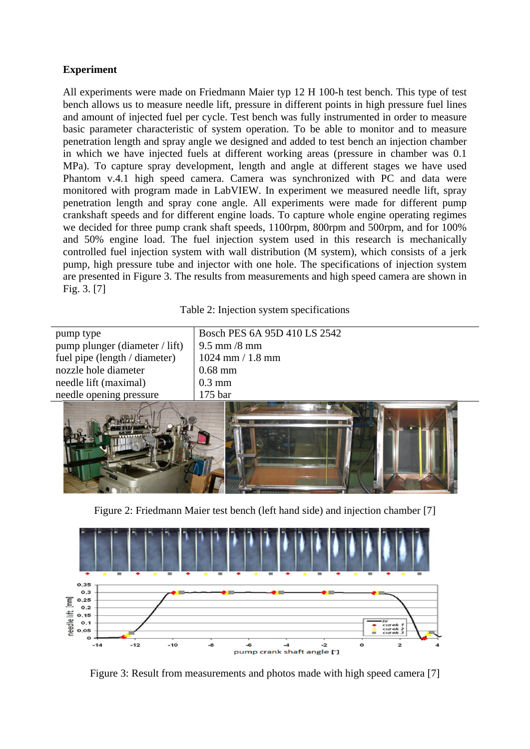# **Experiment**

All experiments were made on Friedmann Maier typ 12 H 100-h test bench. This type of test bench allows us to measure needle lift, pressure in different points in high pressure fuel lines and amount of injected fuel per cycle. Test bench was fully instrumented in order to measure basic parameter characteristic of system operation. To be able to monitor and to measure penetration length and spray angle we designed and added to test bench an injection chamber in which we have injected fuels at different working areas (pressure in chamber was 0.1 MPa). To capture spray development, length and angle at different stages we have used Phantom v.4.1 high speed camera. Camera was synchronized with PC and data were monitored with program made in LabVIEW. In experiment we measured needle lift, spray penetration length and spray cone angle. All experiments were made for different pump crankshaft speeds and for different engine loads. To capture whole engine operating regimes we decided for three pump crank shaft speeds, 1100rpm, 800rpm and 500rpm, and for 100% and 50% engine load. The fuel injection system used in this research is mechanically controlled fuel injection system with wall distribution (M system), which consists of a jerk pump, high pressure tube and injector with one hole. The specifications of injection system are presented in Figure 3. The results from measurements and high speed camera are shown in Fig. 3. [7]

Table 2: Injection system specifications

| pump type                      | Bosch PES 6A 95D 410 LS 2542          |  |
|--------------------------------|---------------------------------------|--|
| pump plunger (diameter / lift) | $\frac{9.5 \text{ mm}}{8 \text{ mm}}$ |  |
| fuel pipe (length / diameter)  | $1024$ mm $/ 1.8$ mm                  |  |
| nozzle hole diameter           | $0.68$ mm                             |  |
| needle lift (maximal)          | $0.3 \text{ mm}$                      |  |
| needle opening pressure        | $175$ bar                             |  |
|                                |                                       |  |



Figure 2: Friedmann Maier test bench (left hand side) and injection chamber [7]



Figure 3: Result from measurements and photos made with high speed camera [7]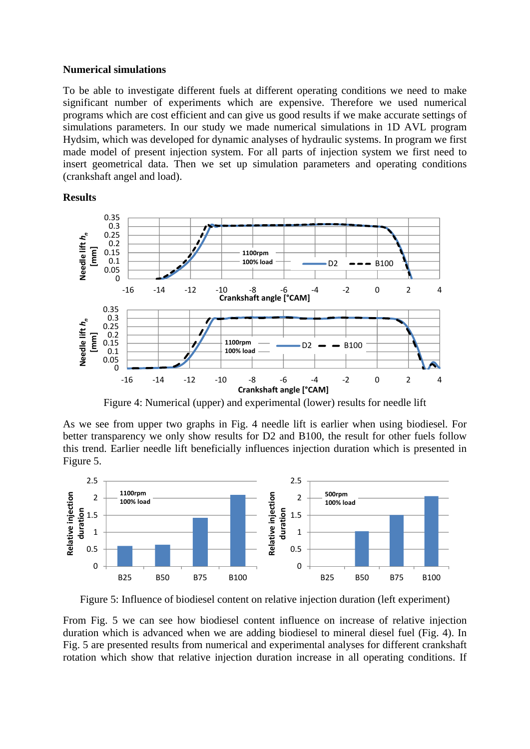#### **Numerical simulations**

To be able to investigate different fuels at different operating conditions we need to make significant number of experiments which are expensive. Therefore we used numerical programs which are cost efficient and can give us good results if we make accurate settings of simulations parameters. In our study we made numerical simulations in 1D AVL program Hydsim, which was developed for dynamic analyses of hydraulic systems. In program we first made model of present injection system. For all parts of injection system we first need to insert geometrical data. Then we set up simulation parameters and operating conditions (crankshaft angel and load).

#### **Results**



Figure 4: Numerical (upper) and experimental (lower) results for needle lift

As we see from upper two graphs in Fig. 4 needle lift is earlier when using biodiesel. For better transparency we only show results for D2 and B100, the result for other fuels follow this trend. Earlier needle lift beneficially influences injection duration which is presented in Figure 5.



Figure 5: Influence of biodiesel content on relative injection duration (left experiment)

From Fig. 5 we can see how biodiesel content influence on increase of relative injection duration which is advanced when we are adding biodiesel to mineral diesel fuel (Fig. 4). In Fig. 5 are presented results from numerical and experimental analyses for different crankshaft rotation which show that relative injection duration increase in all operating conditions. If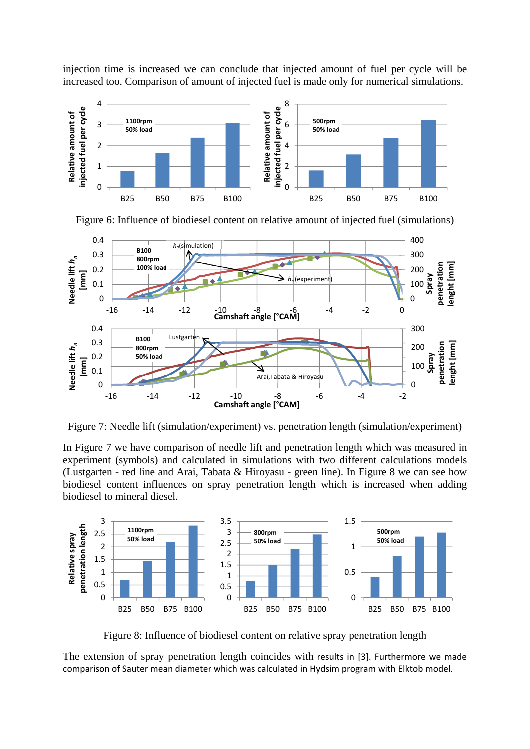injection time is increased we can conclude that injected amount of fuel per cycle will be increased too. Comparison of amount of injected fuel is made only for numerical simulations.



Figure 6: Influence of biodiesel content on relative amount of injected fuel (simulations)



Figure 7: Needle lift (simulation/experiment) vs. penetration length (simulation/experiment)

In Figure 7 we have comparison of needle lift and penetration length which was measured in experiment (symbols) and calculated in simulations with two different calculations models (Lustgarten - red line and Arai, Tabata & Hiroyasu - green line). In Figure 8 we can see how biodiesel content influences on spray penetration length which is increased when adding biodiesel to mineral diesel.



Figure 8: Influence of biodiesel content on relative spray penetration length

The extension of spray penetration length coincides with results in [3]. Furthermore we made comparison of Sauter mean diameter which was calculated in Hydsim program with Elktob model.